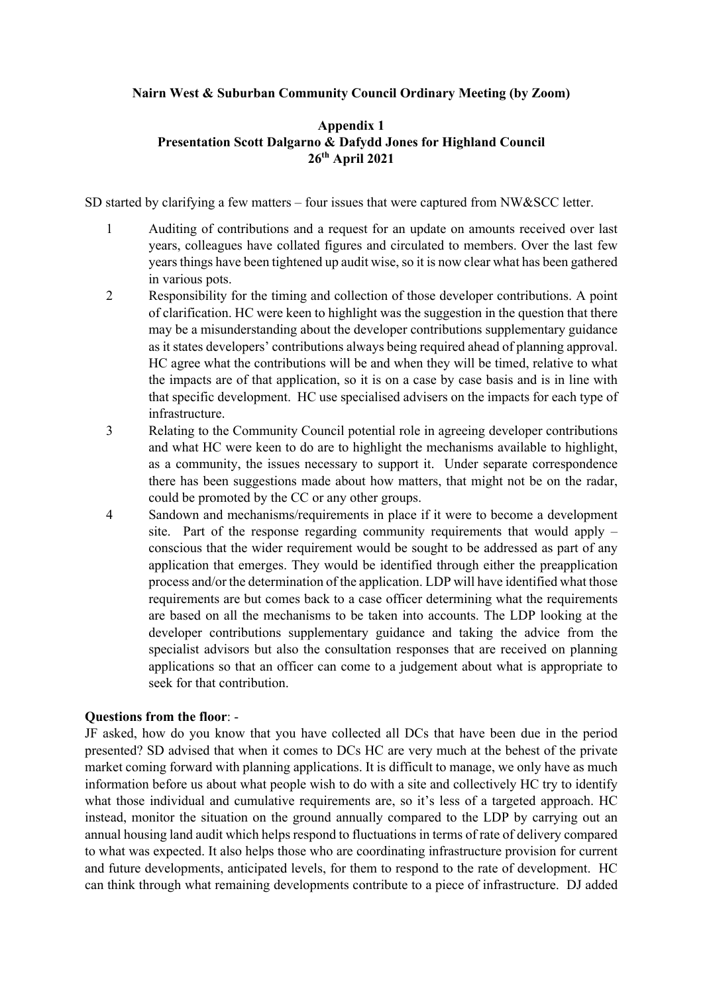## **Nairn West & Suburban Community Council Ordinary Meeting (by Zoom)**

## **Appendix 1 Presentation Scott Dalgarno & Dafydd Jones for Highland Council 26th April 2021**

SD started by clarifying a few matters – four issues that were captured from NW&SCC letter.

- 1 Auditing of contributions and a request for an update on amounts received over last years, colleagues have collated figures and circulated to members. Over the last few years things have been tightened up audit wise, so it is now clear what has been gathered in various pots.
- 2 Responsibility for the timing and collection of those developer contributions. A point of clarification. HC were keen to highlight was the suggestion in the question that there may be a misunderstanding about the developer contributions supplementary guidance as it states developers' contributions always being required ahead of planning approval. HC agree what the contributions will be and when they will be timed, relative to what the impacts are of that application, so it is on a case by case basis and is in line with that specific development. HC use specialised advisers on the impacts for each type of infrastructure.
- 3 Relating to the Community Council potential role in agreeing developer contributions and what HC were keen to do are to highlight the mechanisms available to highlight, as a community, the issues necessary to support it. Under separate correspondence there has been suggestions made about how matters, that might not be on the radar, could be promoted by the CC or any other groups.
- 4 Sandown and mechanisms/requirements in place if it were to become a development site. Part of the response regarding community requirements that would apply – conscious that the wider requirement would be sought to be addressed as part of any application that emerges. They would be identified through either the preapplication process and/or the determination of the application. LDP will have identified what those requirements are but comes back to a case officer determining what the requirements are based on all the mechanisms to be taken into accounts. The LDP looking at the developer contributions supplementary guidance and taking the advice from the specialist advisors but also the consultation responses that are received on planning applications so that an officer can come to a judgement about what is appropriate to seek for that contribution.

## **Questions from the floor**: -

JF asked, how do you know that you have collected all DCs that have been due in the period presented? SD advised that when it comes to DCs HC are very much at the behest of the private market coming forward with planning applications. It is difficult to manage, we only have as much information before us about what people wish to do with a site and collectively HC try to identify what those individual and cumulative requirements are, so it's less of a targeted approach. HC instead, monitor the situation on the ground annually compared to the LDP by carrying out an annual housing land audit which helps respond to fluctuations in terms of rate of delivery compared to what was expected. It also helps those who are coordinating infrastructure provision for current and future developments, anticipated levels, for them to respond to the rate of development. HC can think through what remaining developments contribute to a piece of infrastructure. DJ added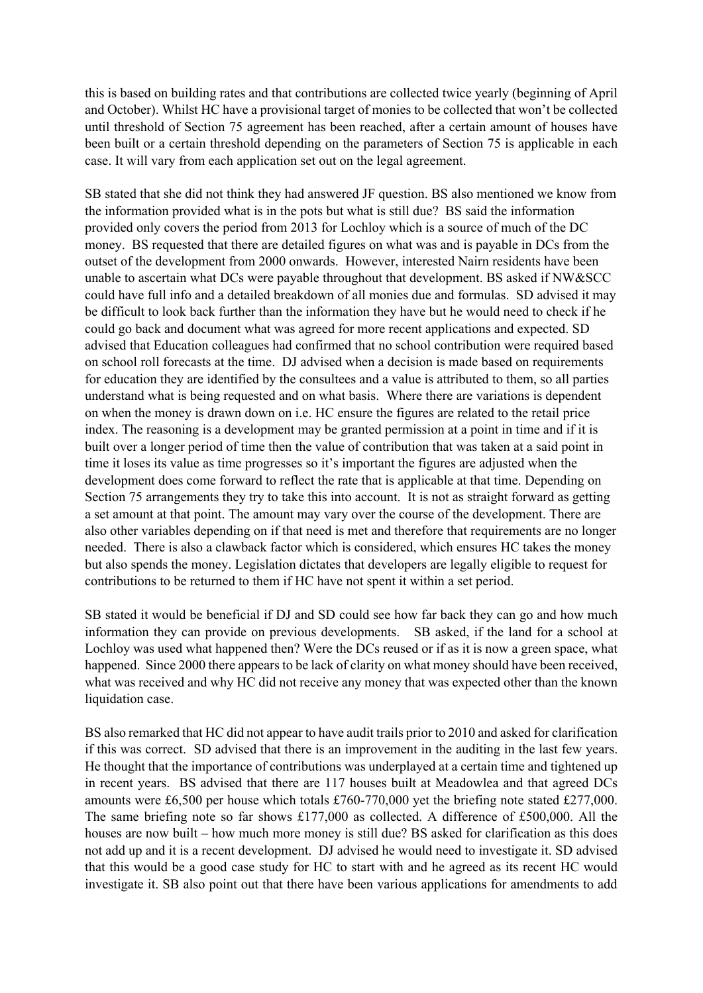this is based on building rates and that contributions are collected twice yearly (beginning of April and October). Whilst HC have a provisional target of monies to be collected that won't be collected until threshold of Section 75 agreement has been reached, after a certain amount of houses have been built or a certain threshold depending on the parameters of Section 75 is applicable in each case. It will vary from each application set out on the legal agreement.

SB stated that she did not think they had answered JF question. BS also mentioned we know from the information provided what is in the pots but what is still due? BS said the information provided only covers the period from 2013 for Lochloy which is a source of much of the DC money. BS requested that there are detailed figures on what was and is payable in DCs from the outset of the development from 2000 onwards. However, interested Nairn residents have been unable to ascertain what DCs were payable throughout that development. BS asked if NW&SCC could have full info and a detailed breakdown of all monies due and formulas. SD advised it may be difficult to look back further than the information they have but he would need to check if he could go back and document what was agreed for more recent applications and expected. SD advised that Education colleagues had confirmed that no school contribution were required based on school roll forecasts at the time. DJ advised when a decision is made based on requirements for education they are identified by the consultees and a value is attributed to them, so all parties understand what is being requested and on what basis. Where there are variations is dependent on when the money is drawn down on i.e. HC ensure the figures are related to the retail price index. The reasoning is a development may be granted permission at a point in time and if it is built over a longer period of time then the value of contribution that was taken at a said point in time it loses its value as time progresses so it's important the figures are adjusted when the development does come forward to reflect the rate that is applicable at that time. Depending on Section 75 arrangements they try to take this into account. It is not as straight forward as getting a set amount at that point. The amount may vary over the course of the development. There are also other variables depending on if that need is met and therefore that requirements are no longer needed. There is also a clawback factor which is considered, which ensures HC takes the money but also spends the money. Legislation dictates that developers are legally eligible to request for contributions to be returned to them if HC have not spent it within a set period.

SB stated it would be beneficial if DJ and SD could see how far back they can go and how much information they can provide on previous developments. SB asked, if the land for a school at Lochloy was used what happened then? Were the DCs reused or if as it is now a green space, what happened. Since 2000 there appears to be lack of clarity on what money should have been received, what was received and why HC did not receive any money that was expected other than the known liquidation case.

BS also remarked that HC did not appear to have audit trails prior to 2010 and asked for clarification if this was correct. SD advised that there is an improvement in the auditing in the last few years. He thought that the importance of contributions was underplayed at a certain time and tightened up in recent years. BS advised that there are 117 houses built at Meadowlea and that agreed DCs amounts were £6,500 per house which totals £760-770,000 yet the briefing note stated £277,000. The same briefing note so far shows £177,000 as collected. A difference of £500,000. All the houses are now built – how much more money is still due? BS asked for clarification as this does not add up and it is a recent development. DJ advised he would need to investigate it. SD advised that this would be a good case study for HC to start with and he agreed as its recent HC would investigate it. SB also point out that there have been various applications for amendments to add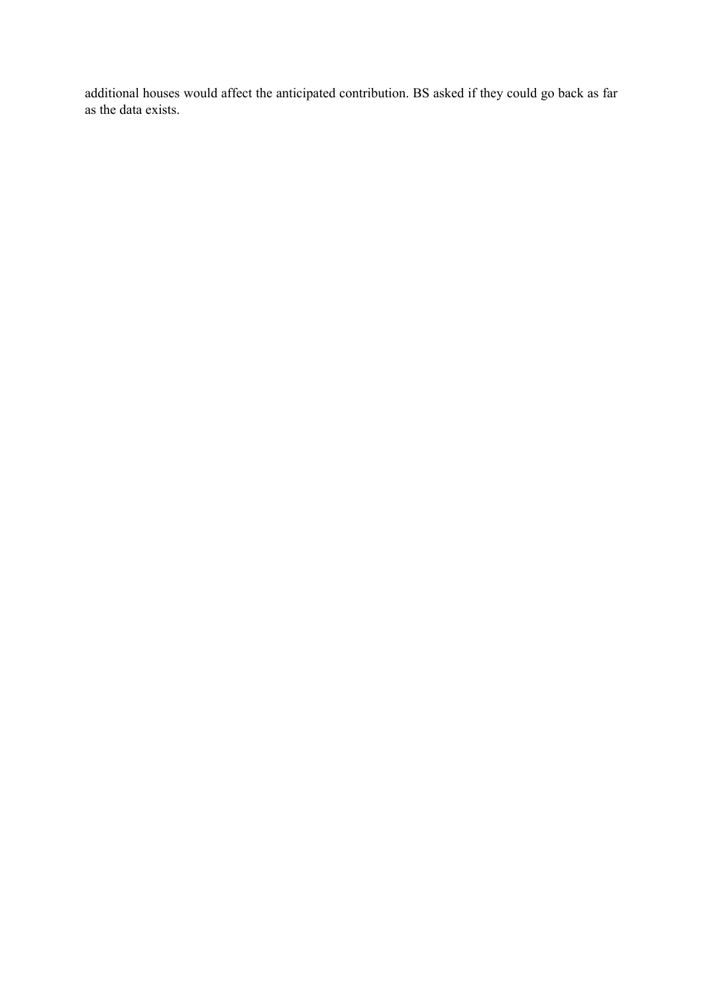additional houses would affect the anticipated contribution. BS asked if they could go back as far as the data exists.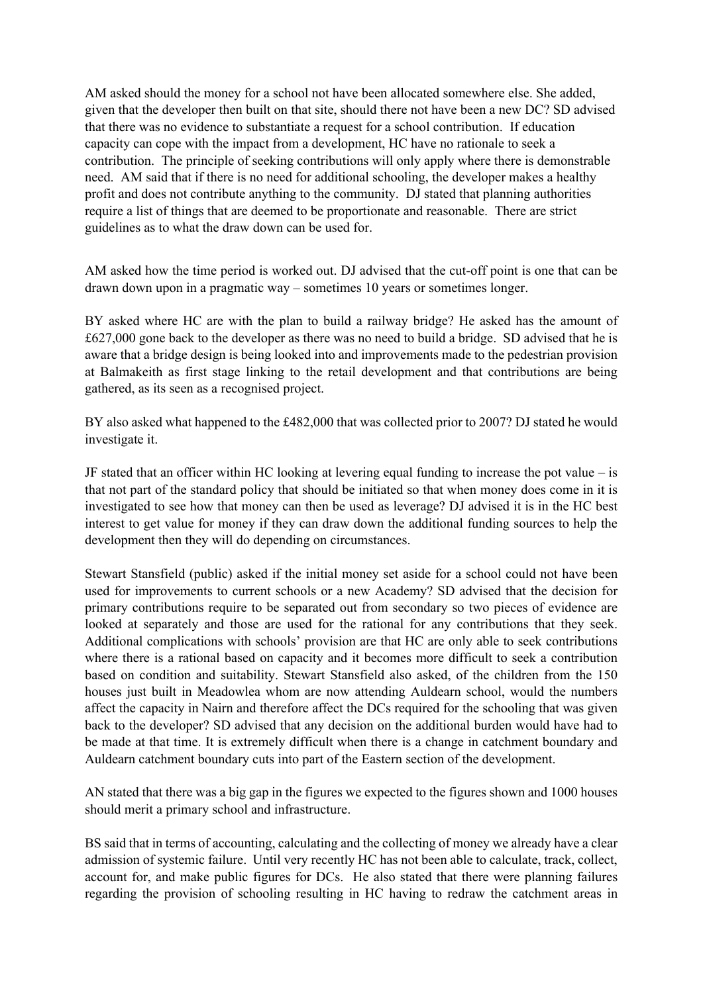AM asked should the money for a school not have been allocated somewhere else. She added, given that the developer then built on that site, should there not have been a new DC? SD advised that there was no evidence to substantiate a request for a school contribution. If education capacity can cope with the impact from a development, HC have no rationale to seek a contribution. The principle of seeking contributions will only apply where there is demonstrable need. AM said that if there is no need for additional schooling, the developer makes a healthy profit and does not contribute anything to the community. DJ stated that planning authorities require a list of things that are deemed to be proportionate and reasonable. There are strict guidelines as to what the draw down can be used for.

AM asked how the time period is worked out. DJ advised that the cut-off point is one that can be drawn down upon in a pragmatic way – sometimes 10 years or sometimes longer.

BY asked where HC are with the plan to build a railway bridge? He asked has the amount of £627,000 gone back to the developer as there was no need to build a bridge. SD advised that he is aware that a bridge design is being looked into and improvements made to the pedestrian provision at Balmakeith as first stage linking to the retail development and that contributions are being gathered, as its seen as a recognised project.

BY also asked what happened to the £482,000 that was collected prior to 2007? DJ stated he would investigate it.

JF stated that an officer within HC looking at levering equal funding to increase the pot value – is that not part of the standard policy that should be initiated so that when money does come in it is investigated to see how that money can then be used as leverage? DJ advised it is in the HC best interest to get value for money if they can draw down the additional funding sources to help the development then they will do depending on circumstances.

Stewart Stansfield (public) asked if the initial money set aside for a school could not have been used for improvements to current schools or a new Academy? SD advised that the decision for primary contributions require to be separated out from secondary so two pieces of evidence are looked at separately and those are used for the rational for any contributions that they seek. Additional complications with schools' provision are that HC are only able to seek contributions where there is a rational based on capacity and it becomes more difficult to seek a contribution based on condition and suitability. Stewart Stansfield also asked, of the children from the 150 houses just built in Meadowlea whom are now attending Auldearn school, would the numbers affect the capacity in Nairn and therefore affect the DCs required for the schooling that was given back to the developer? SD advised that any decision on the additional burden would have had to be made at that time. It is extremely difficult when there is a change in catchment boundary and Auldearn catchment boundary cuts into part of the Eastern section of the development.

AN stated that there was a big gap in the figures we expected to the figures shown and 1000 houses should merit a primary school and infrastructure.

BS said that in terms of accounting, calculating and the collecting of money we already have a clear admission of systemic failure. Until very recently HC has not been able to calculate, track, collect, account for, and make public figures for DCs. He also stated that there were planning failures regarding the provision of schooling resulting in HC having to redraw the catchment areas in